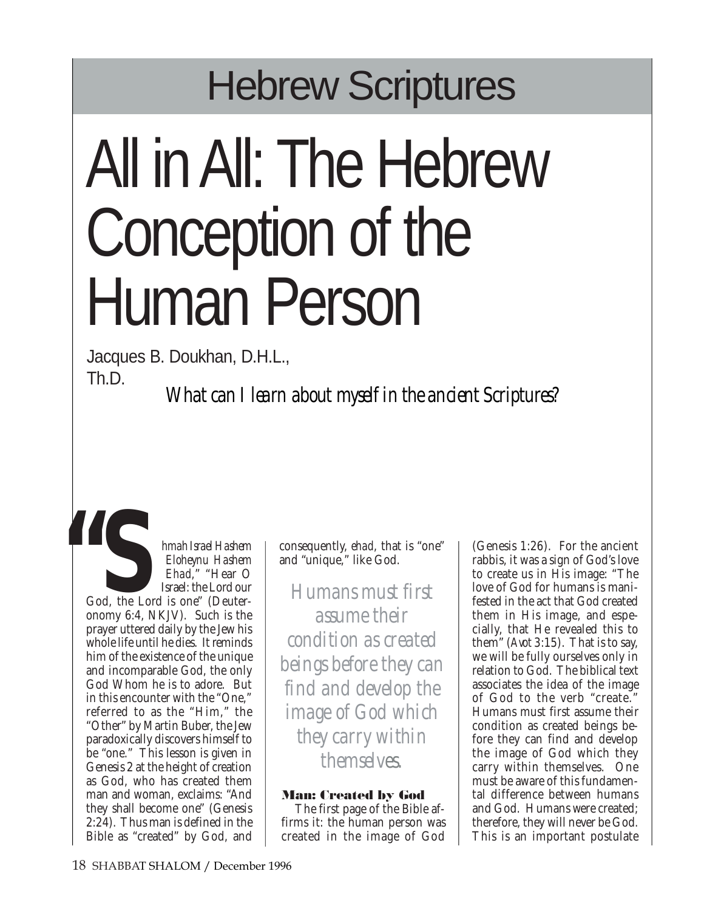## Hebrew Scriptures

# All in All: The Hebrew Conception of the Human Person

Jacques B. Doukhan, D.H.L., Th.D.

*What can I learn about myself in the ancient Scriptures?*

*hmah Israel Hashem Eloheynu Hashem Ehad*," "Hear O Israel: the Lord our God, the Lord is one" (Deuteronomy 6:4, NKJV). Such is the prayer uttered daily by the Jew his whole life until he dies. It reminds him of the existence of the unique and incomparable God, the only God Whom he is to adore. But in this encounter with the "One," referred to as the "Him," the "Other" by Martin Buber, the Jew paradoxically discovers himself to be "one." This lesson is given in Genesis 2 at the height of creation as God, who has created them man and woman, exclaims: "And they shall become one" (Genesis 2:24). Thus man is defined in the Bible as "created" by God, and **66**<br>God, the Lor<br>onomy 6:4, N

consequently, *ehad*, that is "one" and "unique," like God.

*Humans must first assume their condition as created beings before they can find and develop the image of God which they carry within themselves.*

### **Man: Created by God**

The first page of the Bible affirms it: the human person was created in the image of God

(Genesis 1:26). For the ancient rabbis, it was a sign of God's love to create us in His image: "The love of God for humans is manifested in the act that God created them in His image, and especially, that He revealed this to them" (*Avot* 3:15). That is to say, we will be fully ourselves only in relation to God. The biblical text associates the idea of the image of God to the verb "create." Humans must first assume their condition as created beings before they can find and develop the image of God which they carry within themselves. One must be aware of this fundamental difference between humans and God. Humans were created; therefore, they will never be God. This is an important postulate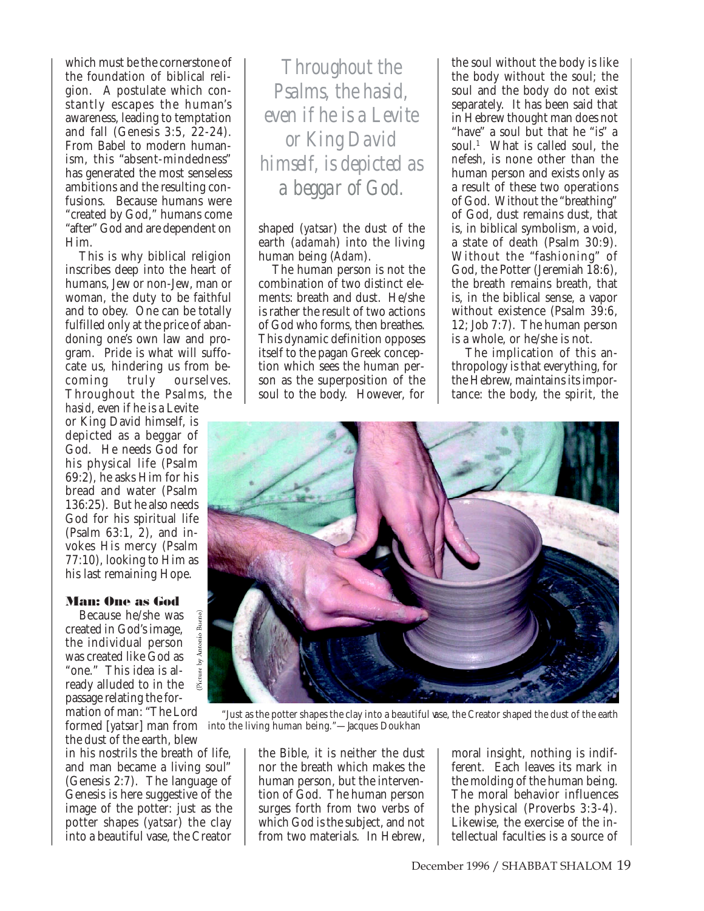which must be the cornerstone of the foundation of biblical religion. A postulate which constantly escapes the human's awareness, leading to temptation and fall (Genesis 3:5, 22-24). From Babel to modern humanism, this "absent-mindedness" has generated the most senseless ambitions and the resulting confusions. Because humans were "created by God," humans come "after" God and are dependent on Him.

This is why biblical religion inscribes deep into the heart of humans, Jew or non-Jew, man or woman, the duty to be faithful and to obey. One can be totally fulfilled only at the price of abandoning one's own law and program. Pride is what will suffocate us, hindering us from be-<br>coming truly ourselves. coming truly ourselves. Throughout the Psalms, the

*hasid*, even if he is a Levite or King David himself, is depicted as a beggar of God. He needs God for his physical life (Psalm 69:2), he asks Him for his bread and water (Psalm 136:25). But he also needs God for his spiritual life (Psalm 63:1, 2), and invokes His mercy (Psalm 77:10), looking to Him as his last remaining Hope.

#### **Man: One as God**

Because he/she was created in God's image, the individual person was created like God as "one." This idea is already alluded to in the passage relating the for-

Antonio Bueno

mation of man: "The Lord the dust of the earth, blew

in his nostrils the breath of life, and man became a living soul" (Genesis 2:7). The language of Genesis is here suggestive of the image of the potter: just as the potter shapes (*yatsar*) the clay into a beautiful vase, the Creator

*Throughout the Psalms, the hasid, even if he is a Levite or King David himself, is depicted as a beggar of God.*

shaped (*yatsar*) the dust of the earth (*adamah*) into the living human being (*Adam*).

The human person is not the combination of two distinct elements: breath and dust. He/she is rather the result of two actions of God who forms, then breathes. This dynamic definition opposes itself to the pagan Greek conception which sees the human person as the superposition of the soul to the body. However, for

the soul without the body is like the body without the soul; the soul and the body do not exist separately. It has been said that in Hebrew thought man does not "have" a soul but that he "is" a soul.<sup>1</sup> What is called soul, the *nefesh*, is none other than the human person and exists only as a result of these two operations of God. Without the "breathing" of God, dust remains dust, that is, in biblical symbolism, a void, a state of death (Psalm 30:9). Without the "fashioning" of God, the Potter (Jeremiah 18:6), the breath remains breath, that is, in the biblical sense, a vapor without existence (Psalm 39:6, 12; Job 7:7). The human person is a whole, or he/she is not.

The implication of this anthropology is that everything, for the Hebrew, maintains its importance: the body, the spirit, the



formed [*yatsar*] man from into the living human being."—Jacques Doukhan "Just as the potter shapes the clay into a beautiful vase, the Creator shaped the dust of the earth

> the Bible, it is neither the dust nor the breath which makes the human person, but the intervention of God. The human person surges forth from two verbs of which God is the subject, and not from two materials. In Hebrew,

moral insight, nothing is indifferent. Each leaves its mark in the molding of the human being. The moral behavior influences the physical (Proverbs 3:3-4). Likewise, the exercise of the intellectual faculties is a source of